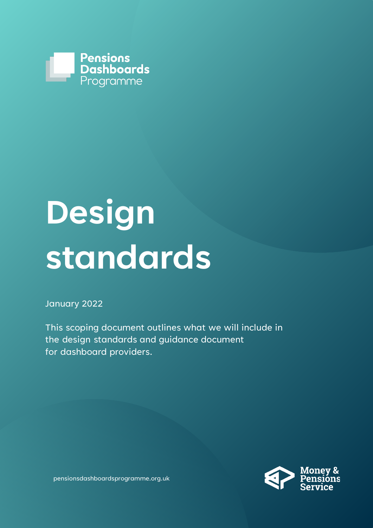

# **Design standards**

#### January 2022

This scoping document outlines what we will include in the design standards and guidance document for dashboard providers.



pensionsdashboardsprogramme.org.uk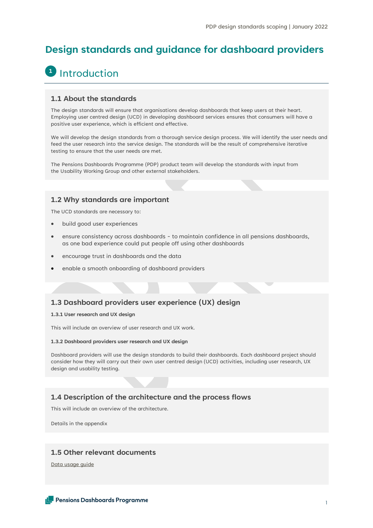### **Design standards and guidance for dashboard providers**

## **1** Introduction

#### **1.1 About the standards**

The design standards will ensure that organisations develop dashboards that keep users at their heart. Employing user centred design (UCD) in developing dashboard services ensures that consumers will have a positive user experience, which is efficient and effective.

We will develop the design standards from a thorough service design process. We will identify the user needs and feed the user research into the service design. The standards will be the result of comprehensive iterative testing to ensure that the user needs are met.

The Pensions Dashboards Programme (PDP) product team will develop the standards with input from the Usability Working Group and other external stakeholders.

#### **1.2 Why standards are important**

The UCD standards are necessary to:

- build good user experiences
- ensure consistency across dashboards to maintain confidence in all pensions dashboards, as one bad experience could put people off using other dashboards
- encourage trust in dashboards and the data
- enable a smooth onboarding of dashboard providers

#### **1.3 Dashboard providers user experience (UX) design**

#### **1.3.1 User research and UX design**

This will include an overview of user research and UX work.

#### **1.3.2 Dashboard providers user research and UX design**

Dashboard providers will use the design standards to build their dashboards. Each dashboard project should consider how they will carry out their own user centred design (UCD) activities, including user research, UX design and usability testing.

#### **1.4 Description of the architecture and the process flows**

This will include an overview of the architecture.

Details in the appendix

#### **1.5 Other relevant documents**

[Data usage guide](https://www.pensionsdashboardsprogramme.org.uk/2022/01/31/data-standards/)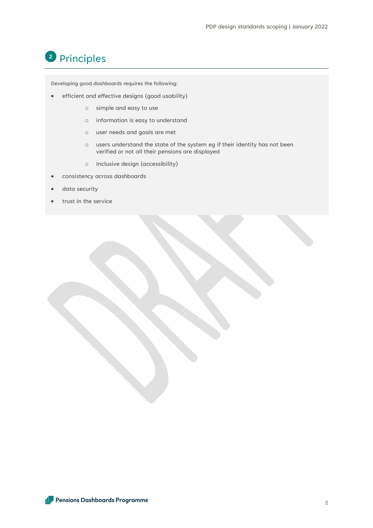## <sup>2</sup> Principles

Developing good dashboards requires the following:

- efficient and effective designs (good usability)
	- o simple and easy to use
	- o information is easy to understand
	- o user needs and goals are met
	- o users understand the state of the system eg if their identity has not been verified or not all their pensions are displayed
	- o Inclusive design (accessibility)
- consistency across dashboards
- data security
- trust in the service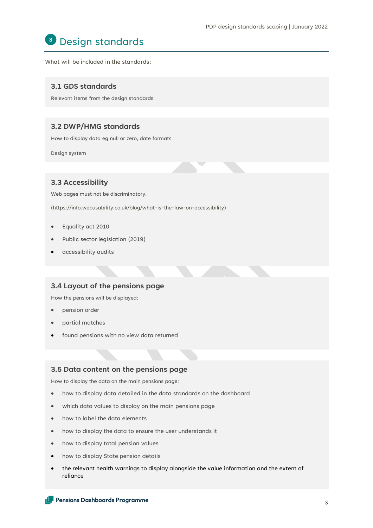## Design standards **3**

What will be included in the standards:

#### **3.1 GDS standards**

Relevant items from the design standards

#### **3.2 DWP/HMG standards**

How to display data eg null or zero, date formats

Design system

#### **3.3 Accessibility**

Web pages must not be discriminatory.

[\(https://info.webusability.co.uk/blog/what-is-the-law-on-accessibility\)](https://mcas-proxyweb.mcas.ms/certificate-checker?login=false&originalUrl=https%3A%2F%2Finfo.webusability.co.uk.mcas.ms%2Fblog%2Fwhat-is-the-law-on-accessibility%3FMcasTsid%3D20892&McasCSRF=dfb94f1db449b6e872e6b5e39e582eac2815a56787065a7ce95a927957209a85)

- Equality act 2010
- Public sector legislation (2019)
- accessibility audits

#### **3.4 Layout of the pensions page**

How the pensions will be displayed:

- pension order
- partial matches
- found pensions with no view data returned

#### **3.5 Data content on the pensions page**

How to display the data on the main pensions page:

- how to display data detailed in the data standards on the dashboard
- which data values to display on the main pensions page
- how to label the data elements
- how to display the data to ensure the user understands it
- how to display total pension values
- how to display State pension details
- the relevant health warnings to display alongside the value information and the extent of reliance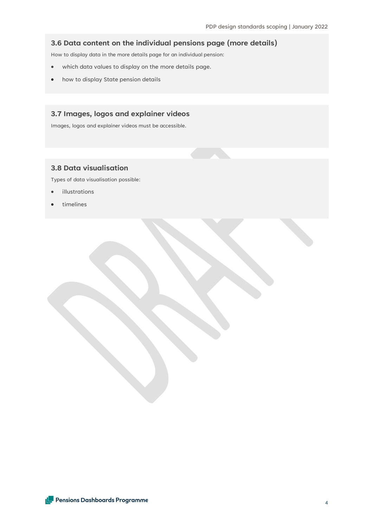#### **3.6 Data content on the individual pensions page (more details)**

How to display data in the more details page for an individual pension:

- which data values to display on the more details page.
- how to display State pension details

#### **3.7 Images, logos and explainer videos**

Images, logos and explainer videos must be accessible.

#### **3.8 Data visualisation**

Types of data visualisation possible:

- illustrations
- timelines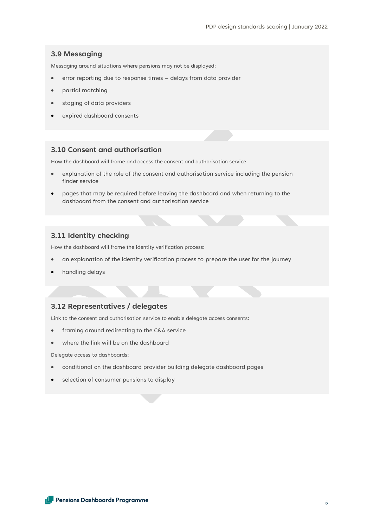#### **3.9 Messaging**

Messaging around situations where pensions may not be displayed:

- error reporting due to response times delays from data provider
- partial matching
- staging of data providers
- expired dashboard consents

#### **3.10 Consent and authorisation**

How the dashboard will frame and access the consent and authorisation service:

- explanation of the role of the consent and authorisation service including the pension finder service
- pages that may be required before leaving the dashboard and when returning to the dashboard from the consent and authorisation service

#### **3.11 Identity checking**

How the dashboard will frame the identity verification process:

- an explanation of the identity verification process to prepare the user for the journey
- handling delays

#### **3.12 Representatives / delegates**

Link to the consent and authorisation service to enable delegate access consents:

- framing around redirecting to the C&A service
- where the link will be on the dashboard

Delegate access to dashboards:

- conditional on the dashboard provider building delegate dashboard pages
- selection of consumer pensions to display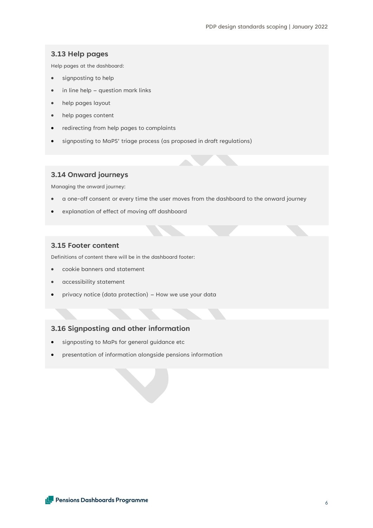#### **3.13 Help pages**

Help pages at the dashboard:

- signposting to help
- in line help question mark links
- help pages layout
- help pages content
- redirecting from help pages to complaints
- signposting to MaPS' triage process (as proposed in draft regulations)

#### **3.14 Onward journeys**

Managing the onward journey:

- a one-off consent or every time the user moves from the dashboard to the onward journey
- explanation of effect of moving off dashboard

#### **3.15 Footer content**

Definitions of content there will be in the dashboard footer:

- cookie banners and statement
- accessibility statement
- privacy notice (data protection) How we use your data

#### **3.16 Signposting and other information**

- signposting to MaPs for general guidance etc
- presentation of information alongside pensions information